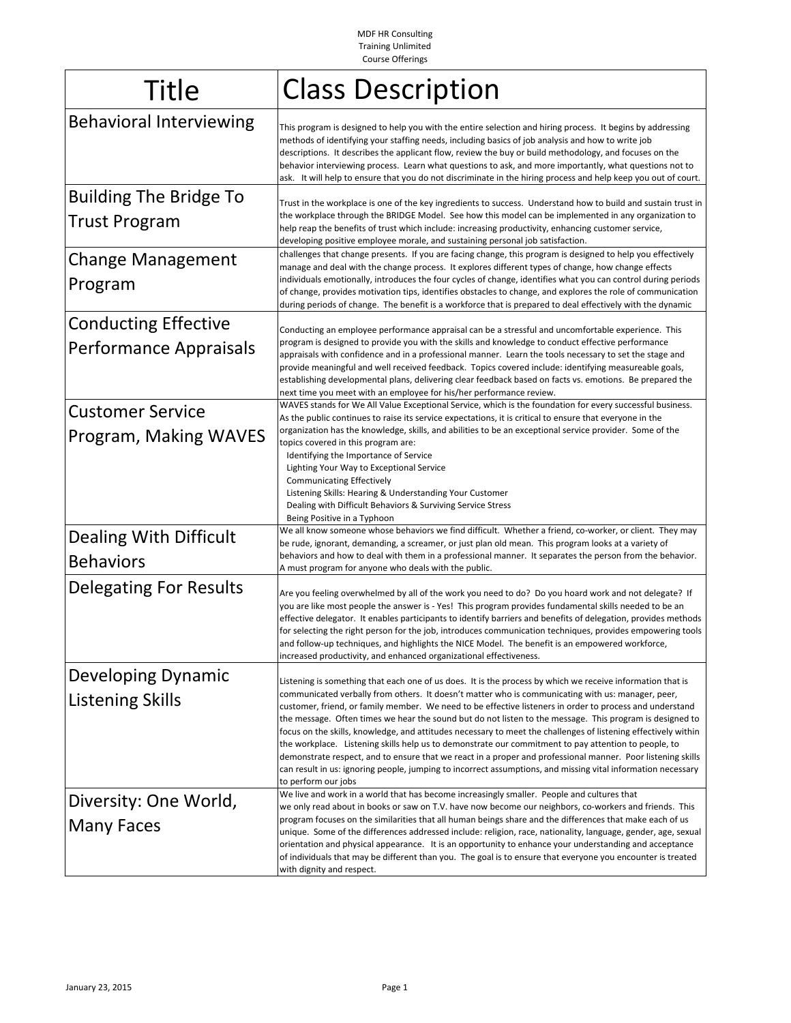MDF HR Consulting Training Unlimited Course Offerings

| <b>Title</b>                                          | <b>Class Description</b>                                                                                                                                                                                                                                                                                                                                                                                                                                                                                                                                                                                                                                                                                                                                                                                                                                                                                                |
|-------------------------------------------------------|-------------------------------------------------------------------------------------------------------------------------------------------------------------------------------------------------------------------------------------------------------------------------------------------------------------------------------------------------------------------------------------------------------------------------------------------------------------------------------------------------------------------------------------------------------------------------------------------------------------------------------------------------------------------------------------------------------------------------------------------------------------------------------------------------------------------------------------------------------------------------------------------------------------------------|
| <b>Behavioral Interviewing</b>                        | This program is designed to help you with the entire selection and hiring process. It begins by addressing<br>methods of identifying your staffing needs, including basics of job analysis and how to write job<br>descriptions. It describes the applicant flow, review the buy or build methodology, and focuses on the<br>behavior interviewing process. Learn what questions to ask, and more importantly, what questions not to<br>ask. It will help to ensure that you do not discriminate in the hiring process and help keep you out of court.                                                                                                                                                                                                                                                                                                                                                                  |
| <b>Building The Bridge To</b><br><b>Trust Program</b> | Trust in the workplace is one of the key ingredients to success. Understand how to build and sustain trust in<br>the workplace through the BRIDGE Model. See how this model can be implemented in any organization to<br>help reap the benefits of trust which include: increasing productivity, enhancing customer service,<br>developing positive employee morale, and sustaining personal job satisfaction.                                                                                                                                                                                                                                                                                                                                                                                                                                                                                                          |
| <b>Change Management</b><br>Program                   | challenges that change presents. If you are facing change, this program is designed to help you effectively<br>manage and deal with the change process. It explores different types of change, how change effects<br>individuals emotionally, introduces the four cycles of change, identifies what you can control during periods<br>of change, provides motivation tips, identifies obstacles to change, and explores the role of communication<br>during periods of change. The benefit is a workforce that is prepared to deal effectively with the dynamic                                                                                                                                                                                                                                                                                                                                                         |
| <b>Conducting Effective</b><br>Performance Appraisals | Conducting an employee performance appraisal can be a stressful and uncomfortable experience. This<br>program is designed to provide you with the skills and knowledge to conduct effective performance<br>appraisals with confidence and in a professional manner. Learn the tools necessary to set the stage and<br>provide meaningful and well received feedback. Topics covered include: identifying measureable goals,<br>establishing developmental plans, delivering clear feedback based on facts vs. emotions. Be prepared the<br>next time you meet with an employee for his/her performance review.                                                                                                                                                                                                                                                                                                          |
| <b>Customer Service</b><br>Program, Making WAVES      | WAVES stands for We All Value Exceptional Service, which is the foundation for every successful business.<br>As the public continues to raise its service expectations, it is critical to ensure that everyone in the<br>organization has the knowledge, skills, and abilities to be an exceptional service provider. Some of the<br>topics covered in this program are:<br>Identifying the Importance of Service<br>Lighting Your Way to Exceptional Service<br><b>Communicating Effectively</b><br>Listening Skills: Hearing & Understanding Your Customer<br>Dealing with Difficult Behaviors & Surviving Service Stress<br>Being Positive in a Typhoon                                                                                                                                                                                                                                                              |
| Dealing With Difficult<br><b>Behaviors</b>            | We all know someone whose behaviors we find difficult. Whether a friend, co-worker, or client. They may<br>be rude, ignorant, demanding, a screamer, or just plan old mean. This program looks at a variety of<br>behaviors and how to deal with them in a professional manner. It separates the person from the behavior.<br>A must program for anyone who deals with the public.                                                                                                                                                                                                                                                                                                                                                                                                                                                                                                                                      |
| <b>Delegating For Results</b>                         | Are you feeling overwhelmed by all of the work you need to do? Do you hoard work and not delegate? If<br>you are like most people the answer is - Yes! This program provides fundamental skills needed to be an<br>effective delegator. It enables participants to identify barriers and benefits of delegation, provides methods<br>for selecting the right person for the job, introduces communication techniques, provides empowering tools<br>and follow-up techniques, and highlights the NICE Model. The benefit is an empowered workforce,<br>increased productivity, and enhanced organizational effectiveness.                                                                                                                                                                                                                                                                                                |
| <b>Developing Dynamic</b><br><b>Listening Skills</b>  | Listening is something that each one of us does. It is the process by which we receive information that is<br>communicated verbally from others. It doesn't matter who is communicating with us: manager, peer,<br>customer, friend, or family member. We need to be effective listeners in order to process and understand<br>the message. Often times we hear the sound but do not listen to the message. This program is designed to<br>focus on the skills, knowledge, and attitudes necessary to meet the challenges of listening effectively within<br>the workplace. Listening skills help us to demonstrate our commitment to pay attention to people, to<br>demonstrate respect, and to ensure that we react in a proper and professional manner. Poor listening skills<br>can result in us: ignoring people, jumping to incorrect assumptions, and missing vital information necessary<br>to perform our jobs |
| Diversity: One World,<br><b>Many Faces</b>            | We live and work in a world that has become increasingly smaller. People and cultures that<br>we only read about in books or saw on T.V. have now become our neighbors, co-workers and friends. This<br>program focuses on the similarities that all human beings share and the differences that make each of us<br>unique. Some of the differences addressed include: religion, race, nationality, language, gender, age, sexual<br>orientation and physical appearance. It is an opportunity to enhance your understanding and acceptance<br>of individuals that may be different than you. The goal is to ensure that everyone you encounter is treated<br>with dignity and respect.                                                                                                                                                                                                                                 |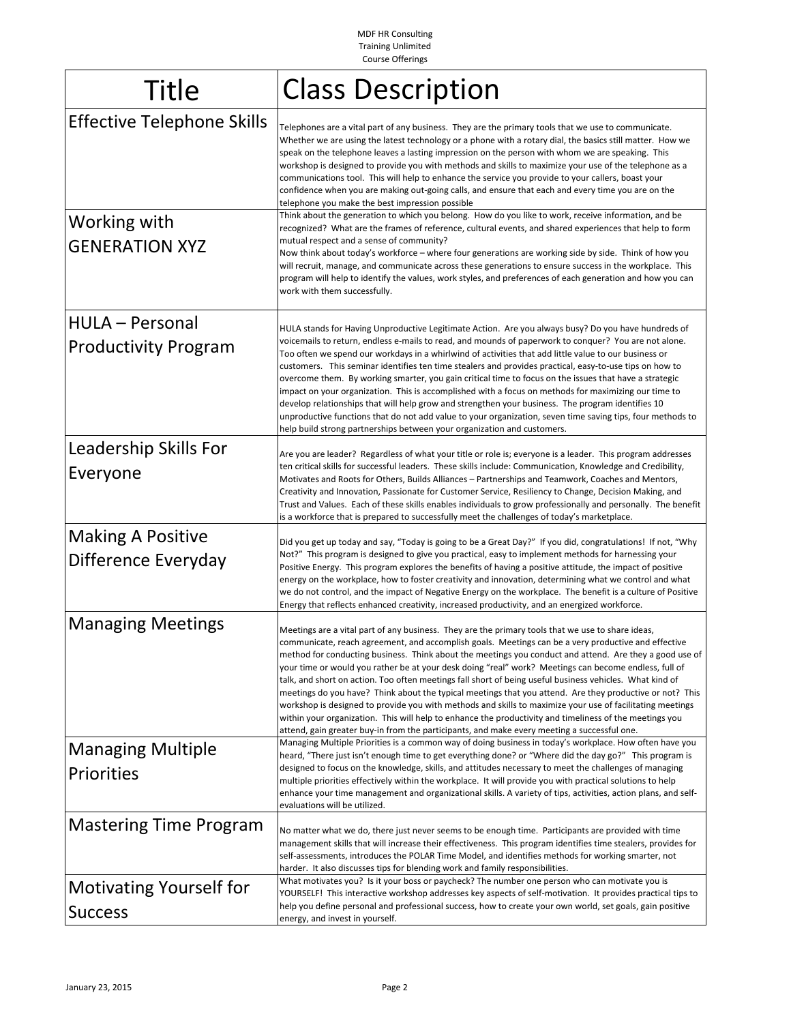MDF HR Consulting Training Unlimited Course Offerings

| <b>Title</b>                                          | <b>Class Description</b>                                                                                                                                                                                                                                                                                                                                                                                                                                                                                                                                                                                                                                                                                                                                                                                                                                                                                                                                                    |
|-------------------------------------------------------|-----------------------------------------------------------------------------------------------------------------------------------------------------------------------------------------------------------------------------------------------------------------------------------------------------------------------------------------------------------------------------------------------------------------------------------------------------------------------------------------------------------------------------------------------------------------------------------------------------------------------------------------------------------------------------------------------------------------------------------------------------------------------------------------------------------------------------------------------------------------------------------------------------------------------------------------------------------------------------|
| <b>Effective Telephone Skills</b>                     | Telephones are a vital part of any business. They are the primary tools that we use to communicate.<br>Whether we are using the latest technology or a phone with a rotary dial, the basics still matter. How we<br>speak on the telephone leaves a lasting impression on the person with whom we are speaking. This<br>workshop is designed to provide you with methods and skills to maximize your use of the telephone as a<br>communications tool. This will help to enhance the service you provide to your callers, boast your<br>confidence when you are making out-going calls, and ensure that each and every time you are on the<br>telephone you make the best impression possible                                                                                                                                                                                                                                                                               |
| Working with<br><b>GENERATION XYZ</b>                 | Think about the generation to which you belong. How do you like to work, receive information, and be<br>recognized? What are the frames of reference, cultural events, and shared experiences that help to form<br>mutual respect and a sense of community?<br>Now think about today's workforce - where four generations are working side by side. Think of how you<br>will recruit, manage, and communicate across these generations to ensure success in the workplace. This<br>program will help to identify the values, work styles, and preferences of each generation and how you can<br>work with them successfully.                                                                                                                                                                                                                                                                                                                                                |
| <b>HULA - Personal</b><br><b>Productivity Program</b> | HULA stands for Having Unproductive Legitimate Action. Are you always busy? Do you have hundreds of<br>voicemails to return, endless e-mails to read, and mounds of paperwork to conquer? You are not alone.<br>Too often we spend our workdays in a whirlwind of activities that add little value to our business or<br>customers. This seminar identifies ten time stealers and provides practical, easy-to-use tips on how to<br>overcome them. By working smarter, you gain critical time to focus on the issues that have a strategic<br>impact on your organization. This is accomplished with a focus on methods for maximizing our time to<br>develop relationships that will help grow and strengthen your business. The program identifies 10<br>unproductive functions that do not add value to your organization, seven time saving tips, four methods to<br>help build strong partnerships between your organization and customers.                            |
| Leadership Skills For<br>Everyone                     | Are you are leader? Regardless of what your title or role is; everyone is a leader. This program addresses<br>ten critical skills for successful leaders. These skills include: Communication, Knowledge and Credibility,<br>Motivates and Roots for Others, Builds Alliances – Partnerships and Teamwork, Coaches and Mentors,<br>Creativity and Innovation, Passionate for Customer Service, Resiliency to Change, Decision Making, and<br>Trust and Values. Each of these skills enables individuals to grow professionally and personally. The benefit<br>is a workforce that is prepared to successfully meet the challenges of today's marketplace.                                                                                                                                                                                                                                                                                                                   |
| <b>Making A Positive</b><br>Difference Everyday       | Did you get up today and say, "Today is going to be a Great Day?" If you did, congratulations! If not, "Why<br>Not?" This program is designed to give you practical, easy to implement methods for harnessing your<br>Positive Energy. This program explores the benefits of having a positive attitude, the impact of positive<br>energy on the workplace, how to foster creativity and innovation, determining what we control and what<br>we do not control, and the impact of Negative Energy on the workplace. The benefit is a culture of Positive<br>Energy that reflects enhanced creativity, increased productivity, and an energized workforce.                                                                                                                                                                                                                                                                                                                   |
| <b>Managing Meetings</b>                              | Meetings are a vital part of any business. They are the primary tools that we use to share ideas,<br>communicate, reach agreement, and accomplish goals. Meetings can be a very productive and effective<br>method for conducting business. Think about the meetings you conduct and attend. Are they a good use of<br>your time or would you rather be at your desk doing "real" work? Meetings can become endless, full of<br>talk, and short on action. Too often meetings fall short of being useful business vehicles. What kind of<br>meetings do you have? Think about the typical meetings that you attend. Are they productive or not? This<br>workshop is designed to provide you with methods and skills to maximize your use of facilitating meetings<br>within your organization. This will help to enhance the productivity and timeliness of the meetings you<br>attend, gain greater buy-in from the participants, and make every meeting a successful one. |
| <b>Managing Multiple</b><br>Priorities                | Managing Multiple Priorities is a common way of doing business in today's workplace. How often have you<br>heard, "There just isn't enough time to get everything done? or "Where did the day go?" This program is<br>designed to focus on the knowledge, skills, and attitudes necessary to meet the challenges of managing<br>multiple priorities effectively within the workplace. It will provide you with practical solutions to help<br>enhance your time management and organizational skills. A variety of tips, activities, action plans, and self-<br>evaluations will be utilized.                                                                                                                                                                                                                                                                                                                                                                               |
| <b>Mastering Time Program</b>                         | No matter what we do, there just never seems to be enough time. Participants are provided with time<br>management skills that will increase their effectiveness. This program identifies time stealers, provides for<br>self-assessments, introduces the POLAR Time Model, and identifies methods for working smarter, not<br>harder. It also discusses tips for blending work and family responsibilities.                                                                                                                                                                                                                                                                                                                                                                                                                                                                                                                                                                 |
| <b>Motivating Yourself for</b><br><b>Success</b>      | What motivates you? Is it your boss or paycheck? The number one person who can motivate you is<br>YOURSELF! This interactive workshop addresses key aspects of self-motivation. It provides practical tips to<br>help you define personal and professional success, how to create your own world, set goals, gain positive<br>energy, and invest in yourself.                                                                                                                                                                                                                                                                                                                                                                                                                                                                                                                                                                                                               |